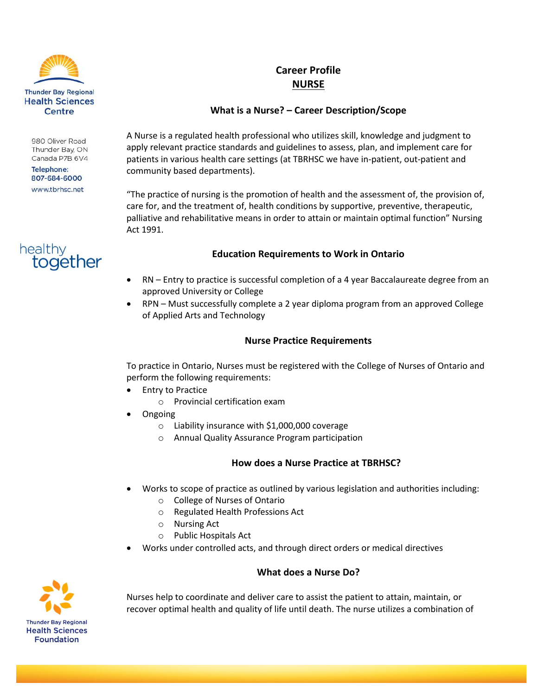

980 Oliver Road Thunder Bay, ON Canada P7B 6V4

**Telephone:** 807-684-6000 www.tbrhsc.net

# healthy together

## **Career Profile NURSE**

### **What is a Nurse? – Career Description/Scope**

A Nurse is a regulated health professional who utilizes skill, knowledge and judgment to apply relevant practice standards and guidelines to assess, plan, and implement care for patients in various health care settings (at TBRHSC we have in-patient, out-patient and community based departments).

"The practice of nursing is the promotion of health and the assessment of, the provision of, care for, and the treatment of, health conditions by supportive, preventive, therapeutic, palliative and rehabilitative means in order to attain or maintain optimal function" Nursing Act 1991.

#### **Education Requirements to Work in Ontario**

- RN Entry to practice is successful completion of a 4 year Baccalaureate degree from an approved University or College
- RPN Must successfully complete a 2 year diploma program from an approved College of Applied Arts and Technology

#### **Nurse Practice Requirements**

To practice in Ontario, Nurses must be registered with the College of Nurses of Ontario and perform the following requirements:

- Entry to Practice
	- o Provincial certification exam
- Ongoing
	- o Liability insurance with \$1,000,000 coverage
	- o Annual Quality Assurance Program participation

#### **How does a Nurse Practice at TBRHSC?**

- Works to scope of practice as outlined by various legislation and authorities including:
	- o College of Nurses of Ontario
	- o Regulated Health Professions Act
	- o Nursing Act
	- o Public Hospitals Act
- Works under controlled acts, and through direct orders or medical directives

#### **What does a Nurse Do?**



Nurses help to coordinate and deliver care to assist the patient to attain, maintain, or recover optimal health and quality of life until death. The nurse utilizes a combination of